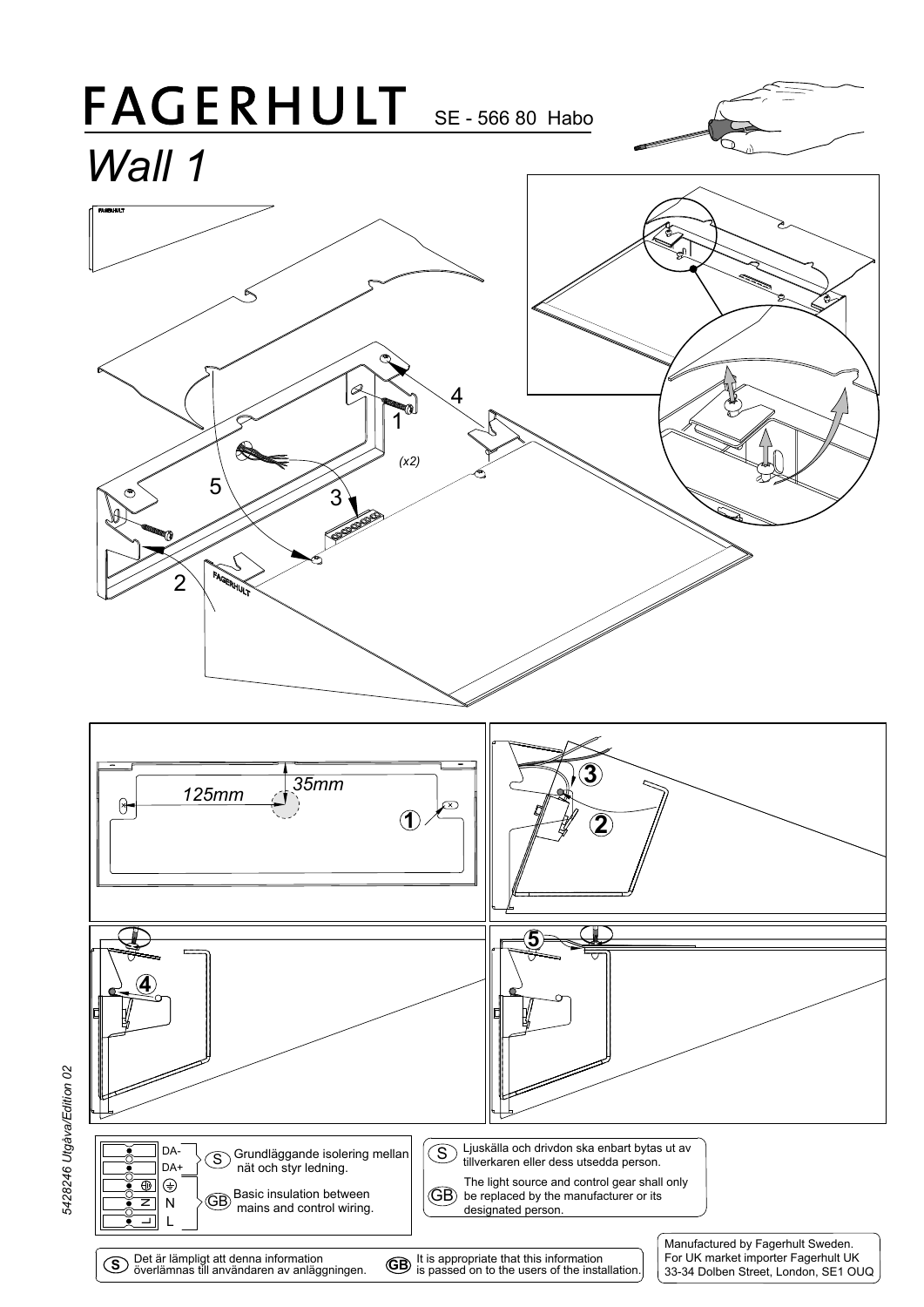